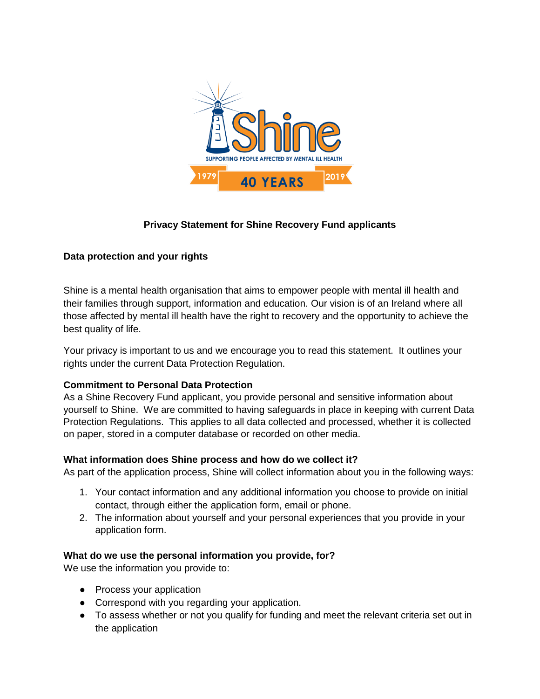

# **Privacy Statement for Shine Recovery Fund applicants**

## **Data protection and your rights**

Shine is a mental health organisation that aims to empower people with mental ill health and their families through support, information and education. Our vision is of an Ireland where all those affected by mental ill health have the right to recovery and the opportunity to achieve the best quality of life.

Your privacy is important to us and we encourage you to read this statement. It outlines your rights under the current Data Protection Regulation.

## **Commitment to Personal Data Protection**

As a Shine Recovery Fund applicant, you provide personal and sensitive information about yourself to Shine. We are committed to having safeguards in place in keeping with current Data Protection Regulations. This applies to all data collected and processed, whether it is collected on paper, stored in a computer database or recorded on other media.

## **What information does Shine process and how do we collect it?**

As part of the application process, Shine will collect information about you in the following ways:

- 1. Your contact information and any additional information you choose to provide on initial contact, through either the application form, email or phone.
- 2. The information about yourself and your personal experiences that you provide in your application form.

## **What do we use the personal information you provide, for?**

We use the information you provide to:

- Process your application
- Correspond with you regarding your application.
- To assess whether or not you qualify for funding and meet the relevant criteria set out in the application